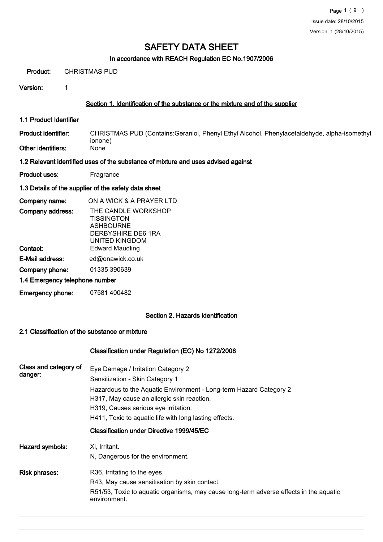#### In accordance with REACH Regulation EC No.1907/2006

Product: CHRISTMAS PUD

Version: 1

#### Section 1. Identification of the substance or the mixture and of the supplier

1.1 Product Identifier

CHRISTMAS PUD (Contains:Geraniol, Phenyl Ethyl Alcohol, Phenylacetaldehyde, alpha-isomethyl ionone) Product identifier: Other identifiers:

#### 1.2 Relevant identified uses of the substance of mixture and uses advised against

Product uses: Fragrance

#### 1.3 Details of the supplier of the safety data sheet

| Company name:                  | ON A WICK & A PRAYER LTD                                                                             |
|--------------------------------|------------------------------------------------------------------------------------------------------|
| Company address:               | THE CANDLE WORKSHOP<br><b>TISSINGTON</b><br><b>ASHBOURNE</b><br>DERBYSHIRE DE6 1RA<br>UNITED KINGDOM |
| Contact:                       | Edward Maudling                                                                                      |
| E-Mail address:                | ed@onawick.co.uk                                                                                     |
| Company phone:                 | 01335 390639                                                                                         |
| 1.4 Emergency telephone number |                                                                                                      |

Emergency phone: 07581 400482

## Section 2. Hazards identification

#### 2.1 Classification of the substance or mixture

#### Classification under Regulation (EC) No 1272/2008

| Class and category of<br>danger: | Eye Damage / Irritation Category 2<br>Sensitization - Skin Category 1<br>Hazardous to the Aquatic Environment - Long-term Hazard Category 2<br>H317, May cause an allergic skin reaction.<br>H319, Causes serious eye irritation.<br>H411, Toxic to aquatic life with long lasting effects. |
|----------------------------------|---------------------------------------------------------------------------------------------------------------------------------------------------------------------------------------------------------------------------------------------------------------------------------------------|
|                                  | Classification under Directive 1999/45/EC                                                                                                                                                                                                                                                   |
| Hazard symbols:                  | Xi, Irritant.<br>N, Dangerous for the environment.                                                                                                                                                                                                                                          |
| Risk phrases:                    | R36, Irritating to the eyes.<br>R43, May cause sensitisation by skin contact.<br>R51/53, Toxic to aquatic organisms, may cause long-term adverse effects in the aquatic<br>environment.                                                                                                     |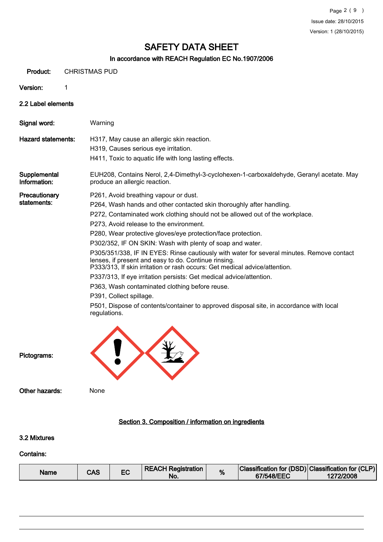#### In accordance with REACH Regulation EC No.1907/2006

Product: CHRISTMAS PUD

Version: 1

2.2 Label elements

Signal word: Warning Hazard statements: H317, May cause an allergic skin reaction. H319, Causes serious eye irritation. H411, Toxic to aquatic life with long lasting effects. EUH208, Contains Nerol, 2,4-Dimethyl-3-cyclohexen-1-carboxaldehyde, Geranyl acetate. May produce an allergic reaction. **Supplemental** Information: **Precautionary** statements: P261, Avoid breathing vapour or dust. P264, Wash hands and other contacted skin thoroughly after handling. P272, Contaminated work clothing should not be allowed out of the workplace. P273, Avoid release to the environment. P280, Wear protective gloves/eye protection/face protection. P302/352, IF ON SKIN: Wash with plenty of soap and water. P305/351/338, IF IN EYES: Rinse cautiously with water for several minutes. Remove contact lenses, if present and easy to do. Continue rinsing. P333/313, If skin irritation or rash occurs: Get medical advice/attention. P337/313, If eye irritation persists: Get medical advice/attention. P363, Wash contaminated clothing before reuse. P391, Collect spillage. P501, Dispose of contents/container to approved disposal site, in accordance with local regulations. Pictograms: Other hazards: None

## Section 3. Composition / information on ingredients

## 3.2 Mixtures

#### Contains:

| Name | CAS |  | <b>REACH Registration</b><br>No. | % | Classification for (DSD) Classification for (CLP)<br>67/548/EEC | 1272/2008 |
|------|-----|--|----------------------------------|---|-----------------------------------------------------------------|-----------|
|------|-----|--|----------------------------------|---|-----------------------------------------------------------------|-----------|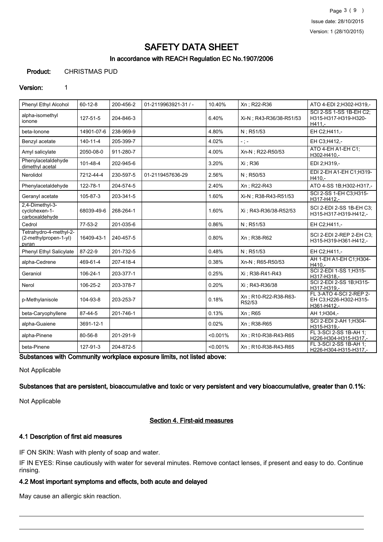## In accordance with REACH Regulation EC No.1907/2006

## Product: CHRISTMAS PUD

#### Version: 1

| Phenyl Ethyl Alcohol                                     | $60 - 12 - 8$  | 200-456-2 | 01-2119963921-31 / - | 10.40%      | Xn; R22-R36                    | ATO 4-EDI 2; H302-H319,-                                        |
|----------------------------------------------------------|----------------|-----------|----------------------|-------------|--------------------------------|-----------------------------------------------------------------|
| alpha-isomethyl<br>ionone                                | 127-51-5       | 204-846-3 |                      | 6.40%       | Xi-N : R43-R36/38-R51/53       | SCI 2-SS 1-SS 1B-EH C2;<br>H315-H317-H319-H320-<br>H411.-       |
| beta-lonone                                              | 14901-07-6     | 238-969-9 |                      | 4.80%       | N; R51/53                      | EH C2;H411,-                                                    |
| Benzyl acetate                                           | $140 - 11 - 4$ | 205-399-7 |                      | 4.02%       | $\sim$ ) $\sim$                | EH C3:H412,-                                                    |
| Amyl salicylate                                          | 2050-08-0      | 911-280-7 |                      | 4.00%       | Xn-N ; R22-R50/53              | ATO 4-EH A1-EH C1;<br>H302-H410,-                               |
| Phenylacetaldehyde<br>dimethyl acetal                    | 101-48-4       | 202-945-6 |                      | 3.20%       | Xi : R36                       | EDI 2:H319.-                                                    |
| Nerolidol                                                | 7212-44-4      | 230-597-5 | 01-2119457636-29     | 2.56%       | $N:$ R50/53                    | EDI 2-EH A1-EH C1;H319-<br>H410.-                               |
| Phenylacetaldehyde                                       | 122-78-1       | 204-574-5 |                      | 2.40%       | Xn; R22-R43                    | ATO 4-SS 1B; H302-H317,-                                        |
| Geranyl acetate                                          | 105-87-3       | 203-341-5 |                      | 1.60%       | Xi-N; R38-R43-R51/53           | SCI 2-SS 1-EH C3;H315-<br>H317-H412,-                           |
| 2,4-Dimethyl-3-<br>cvclohexen-1-<br>carboxaldehyde       | 68039-49-6     | 268-264-1 |                      | 1.60%       | Xi ; R43-R36/38-R52/53         | SCI 2-EDI 2-SS 1B-EH C3:<br>H315-H317-H319-H412,-               |
| Cedrol                                                   | 77-53-2        | 201-035-6 |                      | 0.86%       | $N:$ R51/53                    | EH C2:H411,-                                                    |
| Tetrahydro-4-methyl-2-<br>(2-methylpropen-1-yl)<br>pyran | 16409-43-1     | 240-457-5 |                      | 0.80%       | Xn : R38-R62                   | <b>SCI 2-EDI 2-REP 2-EH C3:</b><br>H315-H319-H361-H412.-        |
| Phenyl Ethyl Salicylate                                  | 87-22-9        | 201-732-5 |                      | 0.48%       | $N:$ R51/53                    | EH C2:H411,-                                                    |
| alpha-Cedrene                                            | 469-61-4       | 207-418-4 |                      | 0.38%       | Xn-N; R65-R50/53               | AH 1-EH A1-EH C1; H304-<br>H410.-                               |
| Geraniol                                                 | 106-24-1       | 203-377-1 |                      | 0.25%       | Xi : R38-R41-R43               | SCI 2-EDI 1-SS 1;H315-<br>H317-H318.-                           |
| Nerol                                                    | 106-25-2       | 203-378-7 |                      | 0.20%       | Xi : R43-R36/38                | SCI 2-EDI 2-SS 1B; H315-<br>H317-H319,-                         |
| p-Methylanisole                                          | 104-93-8       | 203-253-7 |                      | 0.18%       | Xn: R10-R22-R38-R63-<br>R52/53 | FL 3-ATO 4-SCI 2-REP 2-<br>EH C3;H226-H302-H315-<br>H361-H412,- |
| beta-Caryophyllene                                       | 87-44-5        | 201-746-1 |                      | 0.13%       | $Xn$ ; R65                     | AH 1:H304,-                                                     |
| alpha-Guaiene                                            | 3691-12-1      |           |                      | 0.02%       | Xn : R38-R65                   | SCI 2-EDI 2-AH 1;H304-<br>H315-H319,-                           |
| alpha-Pinene                                             | 80-56-8        | 201-291-9 |                      | < 0.001%    | Xn: R10-R38-R43-R65            | FL 3-SCI 2-SS 1B-AH 1;<br>H226-H304-H315-H317,-                 |
| beta-Pinene                                              | 127-91-3       | 204-872-5 |                      | $< 0.001\%$ | Xn: R10-R38-R43-R65            | FL 3-SCI 2-SS 1B-AH 1;<br>H226-H304-H315-H317,-                 |

Substances with Community workplace exposure limits, not listed above:

Not Applicable

Substances that are persistent, bioaccumulative and toxic or very persistent and very bioaccumulative, greater than 0.1%:

Not Applicable

## Section 4. First-aid measures

#### 4.1 Description of first aid measures

IF ON SKIN: Wash with plenty of soap and water.

IF IN EYES: Rinse cautiously with water for several minutes. Remove contact lenses, if present and easy to do. Continue rinsing.

#### 4.2 Most important symptoms and effects, both acute and delayed

May cause an allergic skin reaction.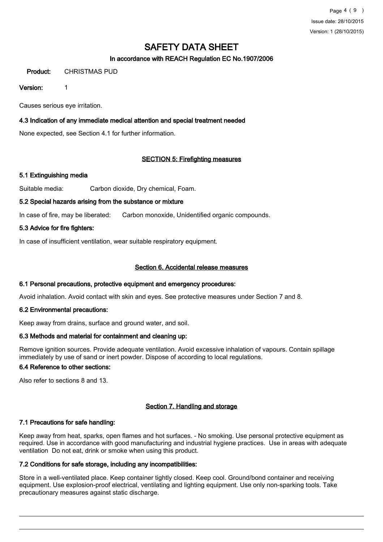## In accordance with REACH Regulation EC No.1907/2006

## Product: CHRISTMAS PUD

#### Version: 1

Causes serious eye irritation.

#### 4.3 Indication of any immediate medical attention and special treatment needed

None expected, see Section 4.1 for further information.

#### SECTION 5: Firefighting measures

## 5.1 Extinguishing media

Suitable media: Carbon dioxide, Dry chemical, Foam.

#### 5.2 Special hazards arising from the substance or mixture

In case of fire, may be liberated: Carbon monoxide, Unidentified organic compounds.

#### 5.3 Advice for fire fighters:

In case of insufficient ventilation, wear suitable respiratory equipment.

#### Section 6. Accidental release measures

#### 6.1 Personal precautions, protective equipment and emergency procedures:

Avoid inhalation. Avoid contact with skin and eyes. See protective measures under Section 7 and 8.

#### 6.2 Environmental precautions:

Keep away from drains, surface and ground water, and soil.

#### 6.3 Methods and material for containment and cleaning up:

Remove ignition sources. Provide adequate ventilation. Avoid excessive inhalation of vapours. Contain spillage immediately by use of sand or inert powder. Dispose of according to local regulations.

#### 6.4 Reference to other sections:

Also refer to sections 8 and 13.

## Section 7. Handling and storage

#### 7.1 Precautions for safe handling:

Keep away from heat, sparks, open flames and hot surfaces. - No smoking. Use personal protective equipment as required. Use in accordance with good manufacturing and industrial hygiene practices. Use in areas with adequate ventilation Do not eat, drink or smoke when using this product.

#### 7.2 Conditions for safe storage, including any incompatibilities:

Store in a well-ventilated place. Keep container tightly closed. Keep cool. Ground/bond container and receiving equipment. Use explosion-proof electrical, ventilating and lighting equipment. Use only non-sparking tools. Take precautionary measures against static discharge.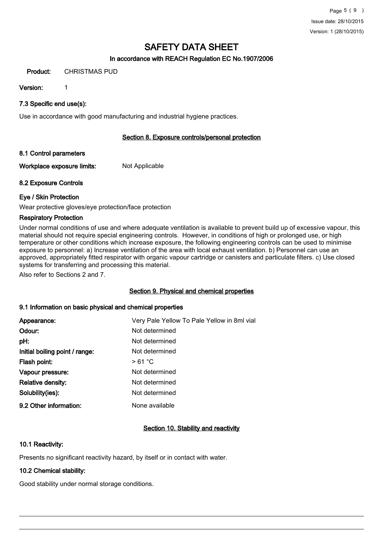## In accordance with REACH Regulation EC No.1907/2006

#### Product: CHRISTMAS PUD

Version: 1

## 7.3 Specific end use(s):

Use in accordance with good manufacturing and industrial hygiene practices.

## Section 8. Exposure controls/personal protection

## 8.1 Control parameters

Workplace exposure limits: Not Applicable

## 8.2 Exposure Controls

## Eye / Skin Protection

Wear protective gloves/eye protection/face protection

## Respiratory Protection

Under normal conditions of use and where adequate ventilation is available to prevent build up of excessive vapour, this material should not require special engineering controls. However, in conditions of high or prolonged use, or high temperature or other conditions which increase exposure, the following engineering controls can be used to minimise exposure to personnel: a) Increase ventilation of the area with local exhaust ventilation. b) Personnel can use an approved, appropriately fitted respirator with organic vapour cartridge or canisters and particulate filters. c) Use closed systems for transferring and processing this material.

Also refer to Sections 2 and 7.

## Section 9. Physical and chemical properties

## 9.1 Information on basic physical and chemical properties

| Appearance:                    | Very Pale Yellow To Pale Yellow in 8ml vial |
|--------------------------------|---------------------------------------------|
| Odour:                         | Not determined                              |
| pH:                            | Not determined                              |
| Initial boiling point / range: | Not determined                              |
| Flash point:                   | >61 °C                                      |
| Vapour pressure:               | Not determined                              |
| <b>Relative density:</b>       | Not determined                              |
| Solubility(ies):               | Not determined                              |
| 9.2 Other information:         | None available                              |
|                                |                                             |

## Section 10. Stability and reactivity

## 10.1 Reactivity:

Presents no significant reactivity hazard, by itself or in contact with water.

## 10.2 Chemical stability:

Good stability under normal storage conditions.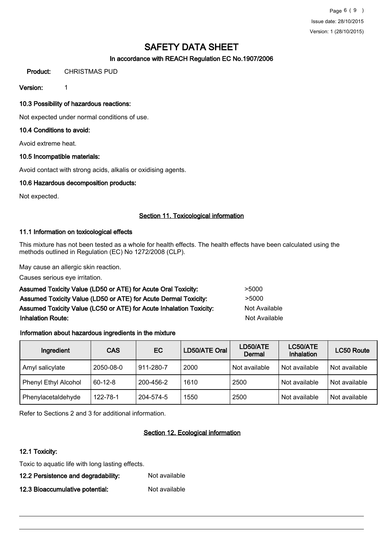## In accordance with REACH Regulation EC No.1907/2006

## Product: CHRISTMAS PUD

Version: 1

## 10.3 Possibility of hazardous reactions:

Not expected under normal conditions of use.

#### 10.4 Conditions to avoid:

Avoid extreme heat.

#### 10.5 Incompatible materials:

Avoid contact with strong acids, alkalis or oxidising agents.

#### 10.6 Hazardous decomposition products:

Not expected.

#### Section 11. Toxicological information

#### 11.1 Information on toxicological effects

This mixture has not been tested as a whole for health effects. The health effects have been calculated using the methods outlined in Regulation (EC) No 1272/2008 (CLP).

May cause an allergic skin reaction.

Causes serious eye irritation.

| Assumed Toxicity Value (LD50 or ATE) for Acute Oral Toxicity:       | >5000                |
|---------------------------------------------------------------------|----------------------|
| Assumed Toxicity Value (LD50 or ATE) for Acute Dermal Toxicity:     | >5000                |
| Assumed Toxicity Value (LC50 or ATE) for Acute Inhalation Toxicity: | Not Available        |
| <b>Inhalation Route:</b>                                            | <b>Not Available</b> |

## Information about hazardous ingredients in the mixture

| Ingredient           | <b>CAS</b>    | <b>EC</b> | LD50/ATE Oral | LD50/ATE<br>Dermal | LC50/ATE<br>Inhalation | LC50 Route    |
|----------------------|---------------|-----------|---------------|--------------------|------------------------|---------------|
| Amyl salicylate      | 2050-08-0     | 911-280-7 | 2000          | Not available      | Not available          | Not available |
| Phenyl Ethyl Alcohol | $60 - 12 - 8$ | 200-456-2 | 1610          | 2500               | Not available          | Not available |
| Phenylacetaldehyde   | 122-78-1      | 204-574-5 | 1550          | 2500               | Not available          | Not available |

Refer to Sections 2 and 3 for additional information.

## Section 12. Ecological information

#### 12.1 Toxicity:

Toxic to aquatic life with long lasting effects.

12.2 Persistence and degradability: Not available

12.3 Bioaccumulative potential: Not available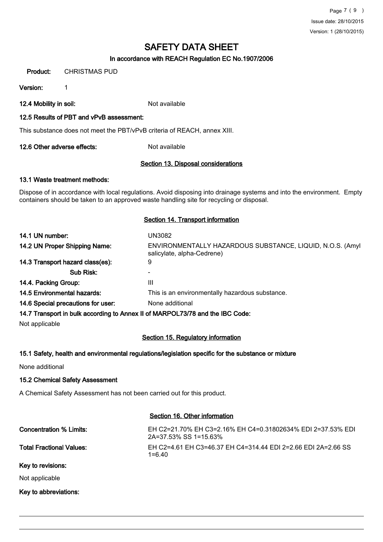## In accordance with REACH Regulation EC No.1907/2006

Product: CHRISTMAS PUD

Version: 1

12.4 Mobility in soil: Not available

#### 12.5 Results of PBT and vPvB assessment:

This substance does not meet the PBT/vPvB criteria of REACH, annex XIII.

12.6 Other adverse effects: Not available

#### Section 13. Disposal considerations

#### 13.1 Waste treatment methods:

Dispose of in accordance with local regulations. Avoid disposing into drainage systems and into the environment. Empty containers should be taken to an approved waste handling site for recycling or disposal.

#### Section 14. Transport information

| 14.1 UN number:                                                               | UN3082                                                                                   |  |  |  |
|-------------------------------------------------------------------------------|------------------------------------------------------------------------------------------|--|--|--|
| 14.2 UN Proper Shipping Name:                                                 | ENVIRONMENTALLY HAZARDOUS SUBSTANCE, LIQUID, N.O.S. (Amyl)<br>salicylate, alpha-Cedrene) |  |  |  |
| 14.3 Transport hazard class(es):                                              | 9                                                                                        |  |  |  |
| Sub Risk:                                                                     |                                                                                          |  |  |  |
| 14.4. Packing Group:                                                          | Ш                                                                                        |  |  |  |
| 14.5 Environmental hazards:                                                   | This is an environmentally hazardous substance.                                          |  |  |  |
| 14.6 Special precautions for user:                                            | None additional                                                                          |  |  |  |
| 14.7 Transport in bulk according to Annex II of MARPOL73/78 and the IBC Code: |                                                                                          |  |  |  |

Not applicable

## Section 15. Regulatory information

#### 15.1 Safety, health and environmental regulations/legislation specific for the substance or mixture

None additional

#### 15.2 Chemical Safety Assessment

A Chemical Safety Assessment has not been carried out for this product.

#### Section 16. Other information

Concentration % Limits: EH C2=21.70% EH C3=2.16% EH C4=0.31802634% EDI 2=37.53% EDI 2A=37.53% SS 1=15.63% Total Fractional Values: EH C2=4.61 EH C3=46.37 EH C4=314.44 EDI 2=2.66 EDI 2A=2.66 SS 1=6.40 Key to revisions:

Not applicable

Key to abbreviations: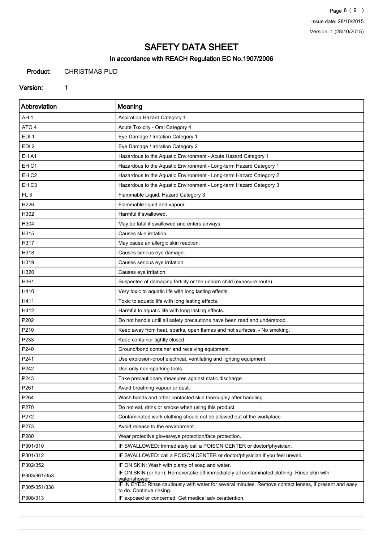Page 8 ( 9 ) Issue date: 28/10/2015 Version: 1 (28/10/2015)

# SAFETY DATA SHEET

## In accordance with REACH Regulation EC No.1907/2006

Product: CHRISTMAS PUD

#### Version: 1

| <b>Abbreviation</b> | Meaning                                                                                                                            |
|---------------------|------------------------------------------------------------------------------------------------------------------------------------|
| AH 1                | <b>Aspiration Hazard Category 1</b>                                                                                                |
| ATO <sub>4</sub>    | Acute Toxicity - Oral Category 4                                                                                                   |
| EDI 1               | Eye Damage / Irritation Category 1                                                                                                 |
| EDI <sub>2</sub>    | Eye Damage / Irritation Category 2                                                                                                 |
| EH A1               | Hazardous to the Aquatic Environment - Acute Hazard Category 1                                                                     |
| EH <sub>C1</sub>    | Hazardous to the Aquatic Environment - Long-term Hazard Category 1                                                                 |
| EH <sub>C2</sub>    | Hazardous to the Aquatic Environment - Long-term Hazard Category 2                                                                 |
| EH <sub>C3</sub>    | Hazardous to the Aquatic Environment - Long-term Hazard Category 3                                                                 |
| FL <sub>3</sub>     | Flammable Liquid, Hazard Category 3                                                                                                |
| H226                | Flammable liquid and vapour.                                                                                                       |
| H302                | Harmful if swallowed.                                                                                                              |
| H304                | May be fatal if swallowed and enters airways.                                                                                      |
| H315                | Causes skin irritation.                                                                                                            |
| H317                | May cause an allergic skin reaction.                                                                                               |
| H318                | Causes serious eye damage.                                                                                                         |
| H319                | Causes serious eye irritation.                                                                                                     |
| H320                | Causes eye irritation.                                                                                                             |
| H361                | Suspected of damaging fertility or the unborn child (exposure route).                                                              |
| H410                | Very toxic to aquatic life with long lasting effects.                                                                              |
| H411                | Toxic to aquatic life with long lasting effects.                                                                                   |
| H412                | Harmful to aquatic life with long lasting effects.                                                                                 |
| P202                | Do not handle until all safety precautions have been read and understood.                                                          |
| P210                | Keep away from heat, sparks, open flames and hot surfaces. - No smoking.                                                           |
| P233                | Keep container tightly closed.                                                                                                     |
| P240                | Ground/bond container and receiving equipment.                                                                                     |
| P241                | Use explosion-proof electrical, ventilating and lighting equipment.                                                                |
| P242                | Use only non-sparking tools.                                                                                                       |
| P243                | Take precautionary measures against static discharge.                                                                              |
| P261                | Avoid breathing vapour or dust.                                                                                                    |
| P264                | Wash hands and other contacted skin thoroughly after handling.                                                                     |
| P270                | Do not eat, drink or smoke when using this product.                                                                                |
| P272                | Contaminated work clothing should not be allowed out of the workplace.                                                             |
| P273                | Avoid release to the environment.                                                                                                  |
| P280                | Wear protective gloves/eye protection/face protection.                                                                             |
| P301/310            | IF SWALLOWED: Immediately call a POISON CENTER or doctor/physician.                                                                |
| P301/312            | IF SWALLOWED: call a POISON CENTER or doctor/physician if you feel unwell.                                                         |
| P302/352            | IF ON SKIN: Wash with plenty of soap and water.                                                                                    |
| P303/361/353        | IF ON SKIN (or hair): Remove/take off immediately all contaminated clothing. Rinse skin with<br>water/shower.                      |
| P305/351/338        | IF IN EYES: Rinse cautiously with water for several minutes. Remove contact lenses, if present and easy<br>to do. Continue rinsing |
| P308/313            | IF exposed or concerned: Get medical advice/attention.                                                                             |